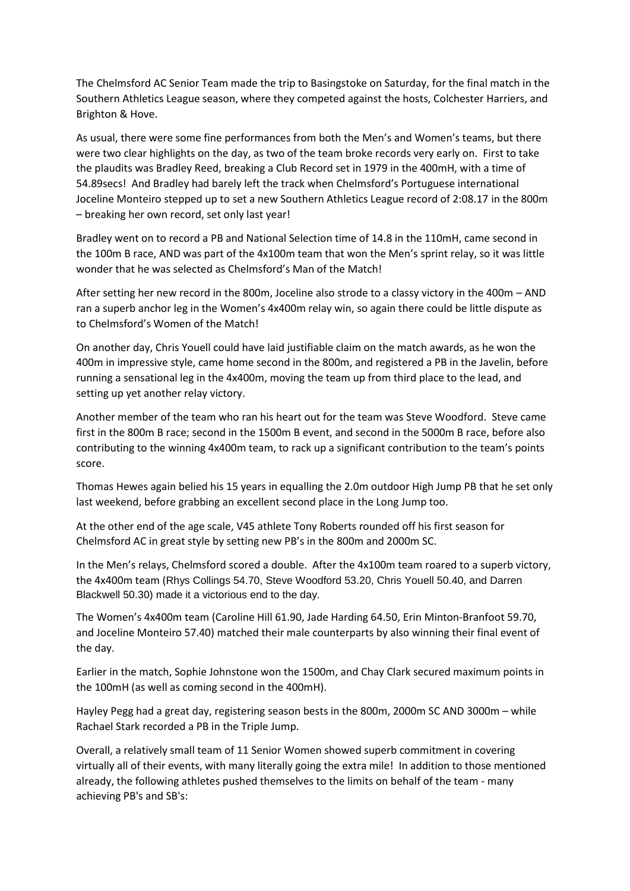The Chelmsford AC Senior Team made the trip to Basingstoke on Saturday, for the final match in the Southern Athletics League season, where they competed against the hosts, Colchester Harriers, and Brighton & Hove.

As usual, there were some fine performances from both the Men's and Women's teams, but there were two clear highlights on the day, as two of the team broke records very early on. First to take the plaudits was Bradley Reed, breaking a Club Record set in 1979 in the 400mH, with a time of 54.89secs! And Bradley had barely left the track when Chelmsford's Portuguese international Joceline Monteiro stepped up to set a new Southern Athletics League record of 2:08.17 in the 800m – breaking her own record, set only last year!

Bradley went on to record a PB and National Selection time of 14.8 in the 110mH, came second in the 100m B race, AND was part of the 4x100m team that won the Men's sprint relay, so it was little wonder that he was selected as Chelmsford's Man of the Match!

After setting her new record in the 800m, Joceline also strode to a classy victory in the 400m – AND ran a superb anchor leg in the Women's 4x400m relay win, so again there could be little dispute as to Chelmsford's Women of the Match!

On another day, Chris Youell could have laid justifiable claim on the match awards, as he won the 400m in impressive style, came home second in the 800m, and registered a PB in the Javelin, before running a sensational leg in the 4x400m, moving the team up from third place to the lead, and setting up yet another relay victory.

Another member of the team who ran his heart out for the team was Steve Woodford. Steve came first in the 800m B race; second in the 1500m B event, and second in the 5000m B race, before also contributing to the winning 4x400m team, to rack up a significant contribution to the team's points score.

Thomas Hewes again belied his 15 years in equalling the 2.0m outdoor High Jump PB that he set only last weekend, before grabbing an excellent second place in the Long Jump too.

At the other end of the age scale, V45 athlete Tony Roberts rounded off his first season for Chelmsford AC in great style by setting new PB's in the 800m and 2000m SC.

In the Men's relays, Chelmsford scored a double. After the 4x100m team roared to a superb victory, the 4x400m team (Rhys Collings 54.70, Steve Woodford 53.20, Chris Youell 50.40, and Darren Blackwell 50.30) made it a victorious end to the day.

The Women's 4x400m team (Caroline Hill 61.90, Jade Harding 64.50, Erin Minton-Branfoot 59.70, and Joceline Monteiro 57.40) matched their male counterparts by also winning their final event of the day.

Earlier in the match, Sophie Johnstone won the 1500m, and Chay Clark secured maximum points in the 100mH (as well as coming second in the 400mH).

Hayley Pegg had a great day, registering season bests in the 800m, 2000m SC AND 3000m – while Rachael Stark recorded a PB in the Triple Jump.

Overall, a relatively small team of 11 Senior Women showed superb commitment in covering virtually all of their events, with many literally going the extra mile! In addition to those mentioned already, the following athletes pushed themselves to the limits on behalf of the team - many achieving PB's and SB's: